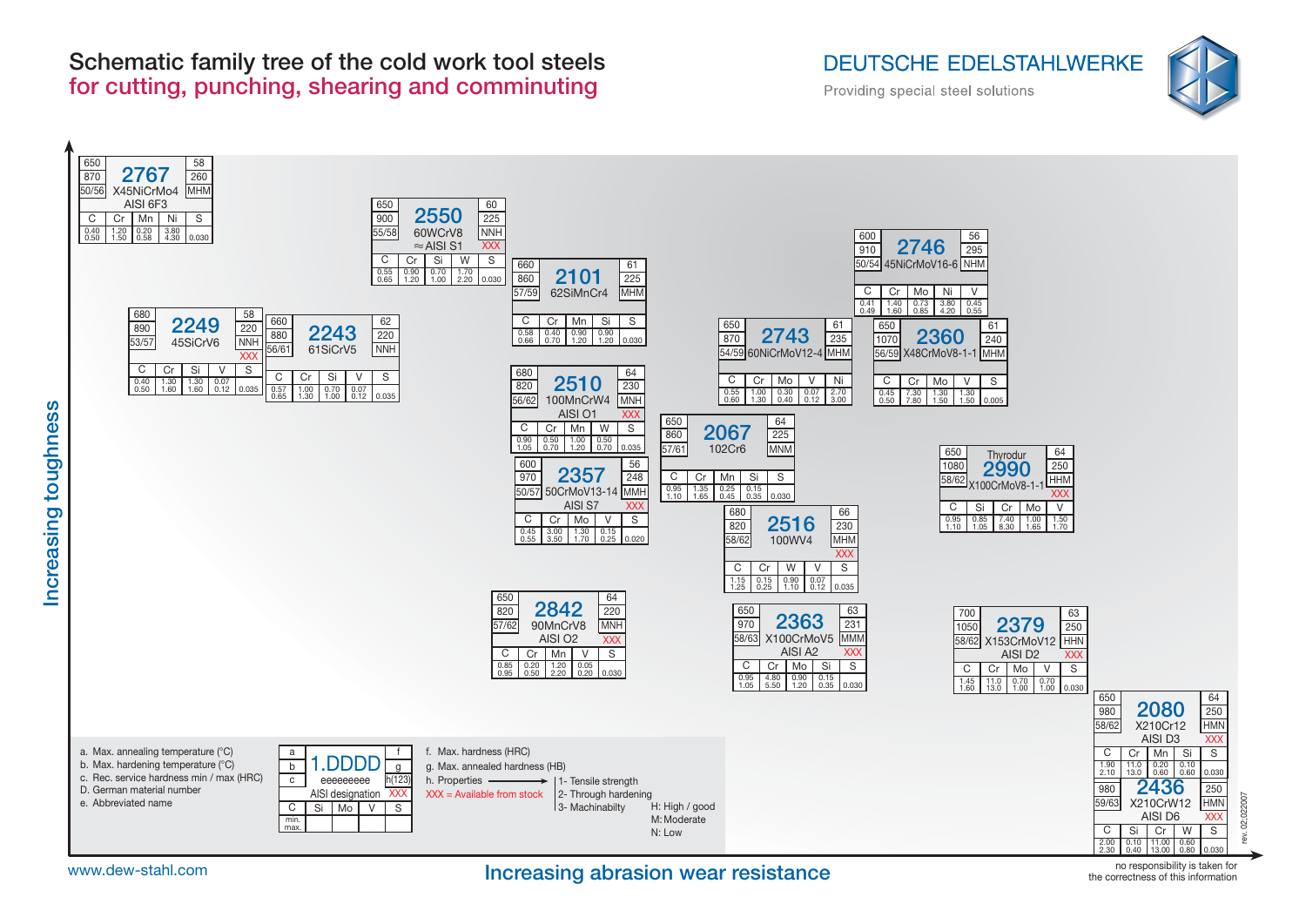

#### **Increasing abrasion wear resistance**





**Increasing toughness**

Increasing toughness

no responsibility is taken for the correctness of this information

## **Schematic family tree of the cold work tool steels for cutting, punching, shearing and comminuting**

# **DEUTSCHE EDELSTAHLWERKE**

Providing special steel solutions